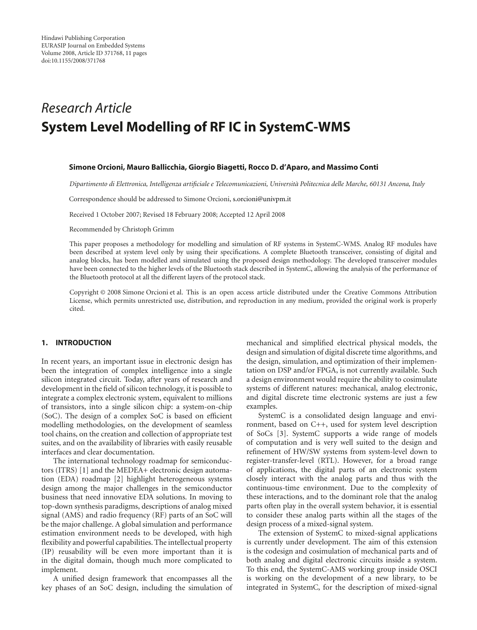# *Research Article* **System Level Modelling of RF IC in SystemC-WMS**

#### **Simone Orcioni, Mauro Ballicchia, Giorgio Biagetti, Rocco D. d'Aparo, and Massimo Conti**

*Dipartimento di Elettronica, Intelligenza artificiale e Telecomunicazioni, Universita Politecnica delle Marche, 60131 Ancona, Italy `*

Correspondence should be addressed to Simone Orcioni, s.orcioni@univpm.it

Received 1 October 2007; Revised 18 February 2008; Accepted 12 April 2008

Recommended by Christoph Grimm

This paper proposes a methodology for modelling and simulation of RF systems in SystemC-WMS. Analog RF modules have been described at system level only by using their specifications. A complete Bluetooth transceiver, consisting of digital and analog blocks, has been modelled and simulated using the proposed design methodology. The developed transceiver modules have been connected to the higher levels of the Bluetooth stack described in SystemC, allowing the analysis of the performance of the Bluetooth protocol at all the different layers of the protocol stack.

Copyright © 2008 Simone Orcioni et al. This is an open access article distributed under the Creative Commons Attribution License, which permits unrestricted use, distribution, and reproduction in any medium, provided the original work is properly cited.

## **1. INTRODUCTION**

In recent years, an important issue in electronic design has been the integration of complex intelligence into a single silicon integrated circuit. Today, after years of research and development in the field of silicon technology, it is possible to integrate a complex electronic system, equivalent to millions of transistors, into a single silicon chip: a system-on-chip (SoC). The design of a complex SoC is based on efficient modelling methodologies, on the development of seamless tool chains, on the creation and collection of appropriate test suites, and on the availability of libraries with easily reusable interfaces and clear documentation.

The international technology roadmap for semiconductors (ITRS) [1] and the MEDEA+ electronic design automation (EDA) roadmap [2] highlight heterogeneous systems design among the major challenges in the semiconductor business that need innovative EDA solutions. In moving to top-down synthesis paradigms, descriptions of analog mixed signal (AMS) and radio frequency (RF) parts of an SoC will be the major challenge. A global simulation and performance estimation environment needs to be developed, with high flexibility and powerful capabilities. The intellectual property (IP) reusability will be even more important than it is in the digital domain, though much more complicated to implement.

A unified design framework that encompasses all the key phases of an SoC design, including the simulation of mechanical and simplified electrical physical models, the design and simulation of digital discrete time algorithms, and the design, simulation, and optimization of their implementation on DSP and/or FPGA, is not currently available. Such a design environment would require the ability to cosimulate systems of different natures: mechanical, analog electronic, and digital discrete time electronic systems are just a few examples.

SystemC is a consolidated design language and environment, based on C++, used for system level description of SoCs [3]. SystemC supports a wide range of models of computation and is very well suited to the design and refinement of HW/SW systems from system-level down to register-transfer-level (RTL). However, for a broad range of applications, the digital parts of an electronic system closely interact with the analog parts and thus with the continuous-time environment. Due to the complexity of these interactions, and to the dominant role that the analog parts often play in the overall system behavior, it is essential to consider these analog parts within all the stages of the design process of a mixed-signal system.

The extension of SystemC to mixed-signal applications is currently under development. The aim of this extension is the codesign and cosimulation of mechanical parts and of both analog and digital electronic circuits inside a system. To this end, the SystemC-AMS working group inside OSCI is working on the development of a new library, to be integrated in SystemC, for the description of mixed-signal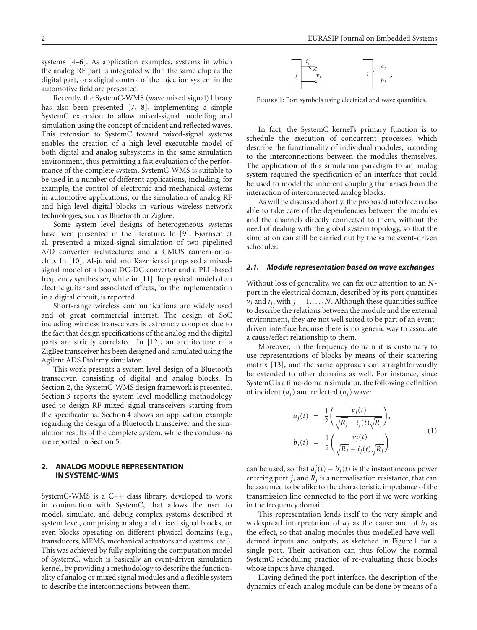systems [4–6]. As application examples, systems in which the analog RF part is integrated within the same chip as the digital part, or a digital control of the injection system in the automotive field are presented.

Recently, the SystemC-WMS (wave mixed signal) library has also been presented [7, 8], implementing a simple SystemC extension to allow mixed-signal modelling and simulation using the concept of incident and reflected waves. This extension to SystemC toward mixed-signal systems enables the creation of a high level executable model of both digital and analog subsystems in the same simulation environment, thus permitting a fast evaluation of the performance of the complete system. SystemC-WMS is suitable to be used in a number of different applications, including, for example, the control of electronic and mechanical systems in automotive applications, or the simulation of analog RF and high-level digital blocks in various wireless network technologies, such as Bluetooth or Zigbee.

Some system level designs of heterogeneous systems have been presented in the literature. In [9], Bjørnsen et al. presented a mixed-signal simulation of two pipelined A/D converter architectures and a CMOS camera-on-achip. In [10], Al-junaid and Kazmierski proposed a mixedsignal model of a boost DC-DC converter and a PLL-based frequency synthesiser, while in [11] the physical model of an electric guitar and associated effects, for the implementation in a digital circuit, is reported.

Short-range wireless communications are widely used and of great commercial interest. The design of SoC including wireless transceivers is extremely complex due to the fact that design specifications of the analog and the digital parts are strictly correlated. In [12], an architecture of a ZigBee transceiver has been designed and simulated using the Agilent ADS Ptolemy simulator.

This work presents a system level design of a Bluetooth transceiver, consisting of digital and analog blocks. In Section 2, the SystemC-WMS design framework is presented. Section 3 reports the system level modelling methodology used to design RF mixed signal transceivers starting from the specifications. Section 4 shows an application example regarding the design of a Bluetooth transceiver and the simulation results of the complete system, while the conclusions are reported in Section 5.

# **2. ANALOG MODULE REPRESENTATION IN SYSTEMC-WMS**

SystemC-WMS is a C++ class library, developed to work in conjunction with SystemC, that allows the user to model, simulate, and debug complex systems described at system level, comprising analog and mixed signal blocks, or even blocks operating on different physical domains (e.g., transducers, MEMS, mechanical actuators and systems, etc.). This was achieved by fully exploiting the computation model of SystemC, which is basically an event-driven simulation kernel, by providing a methodology to describe the functionality of analog or mixed signal modules and a flexible system to describe the interconnections between them.



Figure 1: Port symbols using electrical and wave quantities.

In fact, the SystemC kernel's primary function is to schedule the execution of concurrent processes, which describe the functionality of individual modules, according to the interconnections between the modules themselves. The application of this simulation paradigm to an analog system required the specification of an interface that could be used to model the inherent coupling that arises from the interaction of interconnected analog blocks.

As will be discussed shortly, the proposed interface is also able to take care of the dependencies between the modules and the channels directly connected to them, without the need of dealing with the global system topology, so that the simulation can still be carried out by the same event-driven scheduler.

### *2.1. Module representation based on wave exchanges*

Without loss of generality, we can fix our attention to an *N*port in the electrical domain, described by its port quantities  $v_j$  and  $i_j$ , with  $j = 1, \ldots, N$ . Although these quantities suffice to describe the relations between the module and the external environment, they are not well suited to be part of an eventdriven interface because there is no generic way to associate a cause/effect relationship to them.

Moreover, in the frequency domain it is customary to use representations of blocks by means of their scattering matrix [13], and the same approach can straightforwardly be extended to other domains as well. For instance, since SystemC is a time-domain simulator, the following definition of incident  $(a_i)$  and reflected  $(b_i)$  wave:

$$
a_j(t) = \frac{1}{2} \left( \frac{v_j(t)}{\sqrt{R_j} + i_j(t)\sqrt{R_j}} \right),
$$
  
\n
$$
b_j(t) = \frac{1}{2} \left( \frac{v_j(t)}{\sqrt{R_j} - i_j(t)\sqrt{R_j}} \right)
$$
\n(1)

can be used, so that  $a_j^2(t) - b_j^2(t)$  is the instantaneous power entering port *j*, and  $\overrightarrow{R}_i$  is a normalisation resistance, that can be assumed to be alike to the characteristic impedance of the transmission line connected to the port if we were working in the frequency domain.

This representation lends itself to the very simple and widespread interpretation of  $a_j$  as the cause and of  $b_j$  as the effect, so that analog modules thus modelled have welldefined inputs and outputs, as sketched in Figure 1 for a single port. Their activation can thus follow the normal SystemC scheduling practice of re-evaluating those blocks whose inputs have changed.

Having defined the port interface, the description of the dynamics of each analog module can be done by means of a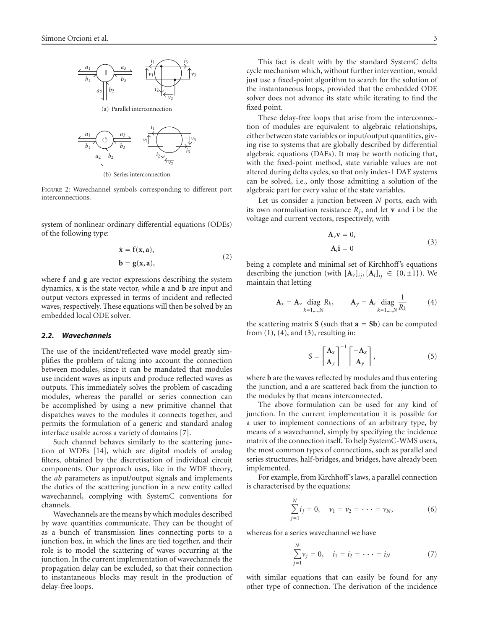

(b) Series interconnection

Figure 2: Wavechannel symbols corresponding to different port interconnections.

system of nonlinear ordinary differential equations (ODEs) of the following type:

$$
\dot{\mathbf{x}} = \mathbf{f}(\mathbf{x}, \mathbf{a}),
$$
  
\n
$$
\mathbf{b} = \mathbf{g}(\mathbf{x}, \mathbf{a}),
$$
\n(2)

where **f** and **g** are vector expressions describing the system dynamics, **x** is the state vector, while **a** and **b** are input and output vectors expressed in terms of incident and reflected waves, respectively. These equations will then be solved by an embedded local ODE solver.

#### *2.2. Wavechannels*

The use of the incident/reflected wave model greatly simplifies the problem of taking into account the connection between modules, since it can be mandated that modules use incident waves as inputs and produce reflected waves as outputs. This immediately solves the problem of cascading modules, whereas the parallel or series connection can be accomplished by using a new primitive channel that dispatches waves to the modules it connects together, and permits the formulation of a generic and standard analog interface usable across a variety of domains [7].

Such channel behaves similarly to the scattering junction of WDFs [14], which are digital models of analog filters, obtained by the discretisation of individual circuit components. Our approach uses, like in the WDF theory, the *ab* parameters as input/output signals and implements the duties of the scattering junction in a new entity called wavechannel, complying with SystemC conventions for channels.

Wavechannels are the means by which modules described by wave quantities communicate. They can be thought of as a bunch of transmission lines connecting ports to a junction box, in which the lines are tied together, and their role is to model the scattering of waves occurring at the junction. In the current implementation of wavechannels the propagation delay can be excluded, so that their connection to instantaneous blocks may result in the production of delay-free loops.

This fact is dealt with by the standard SystemC delta cycle mechanism which, without further intervention, would just use a fixed-point algorithm to search for the solution of the instantaneous loops, provided that the embedded ODE solver does not advance its state while iterating to find the fixed point.

These delay-free loops that arise from the interconnection of modules are equivalent to algebraic relationships, either between state variables or input/output quantities, giving rise to systems that are globally described by differential algebraic equations (DAEs). It may be worth noticing that, with the fixed-point method, state variable values are not altered during delta cycles, so that only index-1 DAE systems can be solved, i.e., only those admitting a solution of the algebraic part for every value of the state variables.

Let us consider a junction between *N* ports, each with its own normalisation resistance  $R_j$ , and let **v** and **i** be the voltage and current vectors, respectively, with

$$
\mathbf{A}_\nu \mathbf{v} = 0,
$$
  
\n
$$
\mathbf{A}_i \mathbf{i} = 0
$$
\n(3)

being a complete and minimal set of Kirchhoff's equations describing the junction (with  $[A_v]_{ii}$ ,  $[A_i]_{ii} \in \{0, \pm 1\}$ ). We maintain that letting

$$
\mathbf{A}_{x} = \mathbf{A}_{\nu} \operatorname{diag}_{k=1,\dots,N} R_{k}, \qquad \mathbf{A}_{y} = \mathbf{A}_{i} \operatorname{diag}_{k=1,\dots,N} \frac{1}{R_{k}} \tag{4}
$$

the scattering matrix **S** (such that  $\mathbf{a} = \mathbf{S} \mathbf{b}$ ) can be computed from  $(1)$ ,  $(4)$ , and  $(3)$ , resulting in:

$$
S = \begin{bmatrix} A_x \\ A_y \end{bmatrix}^{-1} \begin{bmatrix} -A_x \\ A_y \end{bmatrix}, \tag{5}
$$

where **b** are the waves reflected by modules and thus entering the junction, and **a** are scattered back from the junction to the modules by that means interconnected.

The above formulation can be used for any kind of junction. In the current implementation it is possible for a user to implement connections of an arbitrary type, by means of a wavechannel, simply by specifying the incidence matrix of the connection itself. To help SystemC-WMS users, the most common types of connections, such as parallel and series structures, half-bridges, and bridges, have already been implemented.

For example, from Kirchhoff's laws, a parallel connection is characterised by the equations:

$$
\sum_{j=1}^{N} i_j = 0, \quad \nu_1 = \nu_2 = \cdots = \nu_N,
$$
 (6)

whereas for a series wavechannel we have

$$
\sum_{j=1}^{N} v_j = 0, \quad i_1 = i_2 = \cdots = i_N \tag{7}
$$

with similar equations that can easily be found for any other type of connection. The derivation of the incidence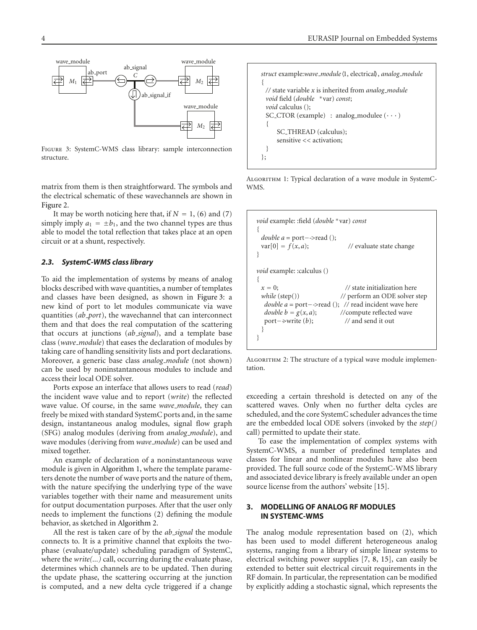

Figure 3: SystemC-WMS class library: sample interconnection structure.

matrix from them is then straightforward. The symbols and the electrical schematic of these wavechannels are shown in Figure 2.

It may be worth noticing here that, if  $N = 1$ , (6) and (7) simply imply  $a_1 = \pm b_1$ , and the two channel types are thus able to model the total reflection that takes place at an open circuit or at a shunt, respectively.

# *2.3. SystemC-WMS class library*

To aid the implementation of systems by means of analog blocks described with wave quantities, a number of templates and classes have been designed, as shown in Figure 3: a new kind of port to let modules communicate via wave quantities (*ab port*), the wavechannel that can interconnect them and that does the real computation of the scattering that occurs at junctions (*ab signal*), and a template base class (*wave module*) that eases the declaration of modules by taking care of handling sensitivity lists and port declarations. Moreover, a generic base class *analog module* (not shown) can be used by noninstantaneous modules to include and access their local ODE solver.

Ports expose an interface that allows users to read (*read*) the incident wave value and to report (*write*) the reflected wave value. Of course, in the same *wave module*, they can freely be mixed with standard SystemC ports and, in the same design, instantaneous analog modules, signal flow graph (SFG) analog modules (deriving from *analog module*), and wave modules (deriving from *wave module*) can be used and mixed together.

An example of declaration of a noninstantaneous wave module is given in Algorithm 1, where the template parameters denote the number of wave ports and the nature of them, with the nature specifying the underlying type of the wave variables together with their name and measurement units for output documentation purposes. After that the user only needs to implement the functions (2) defining the module behavior, as sketched in Algorithm 2.

All the rest is taken care of by the *ab signal* the module connects to. It is a primitive channel that exploits the twophase (evaluate/update) scheduling paradigm of SystemC, where the *write(...)* call, occurring during the evaluate phase, determines which channels are to be updated. Then during the update phase, the scattering occurring at the junction is computed, and a new delta cycle triggered if a change

```
struct example:wave module1, electrical, analog module
{
 // state variable x is inherited from analog module
 void field (double ∗var) const;
 void calculus ();
 SC_CTOR (example) : analog_modulee (\cdots){
     SC THREAD (calculus);
     sensitive << activation;
 }
};
```
ALGORITHM 1: Typical declaration of a wave module in SystemC-WMS.

```
void example: :field (double ∗var) const
{
  double a = port−->read ();<br>var[0] = f(x, a);
                                            // evaluate state change
}
void example: :calculus ()
{
  x = 0; <br>// state initialization here<br>while (step()) // perform an ODE solver s
                                         // perform an ODE solver step
   double a = port−->read (); // read incident wave here double b = g(x, a); //compute reflected wave
                                         //compute reflected wave<br>// and send it out
   port−>write (b);
  }
}
```
ALGORITHM 2: The structure of a typical wave module implementation.

exceeding a certain threshold is detected on any of the scattered waves. Only when no further delta cycles are scheduled, and the core SystemC scheduler advances the time are the embedded local ODE solvers (invoked by the *step()* call) permitted to update their state.

To ease the implementation of complex systems with SystemC-WMS, a number of predefined templates and classes for linear and nonlinear modules have also been provided. The full source code of the SystemC-WMS library and associated device library is freely available under an open source license from the authors' website [15].

# **3. MODELLING OF ANALOG RF MODULES IN SYSTEMC-WMS**

The analog module representation based on (2), which has been used to model different heterogeneous analog systems, ranging from a library of simple linear systems to electrical switching power supplies [7, 8, 15], can easily be extended to better suit electrical circuit requirements in the RF domain. In particular, the representation can be modified by explicitly adding a stochastic signal, which represents the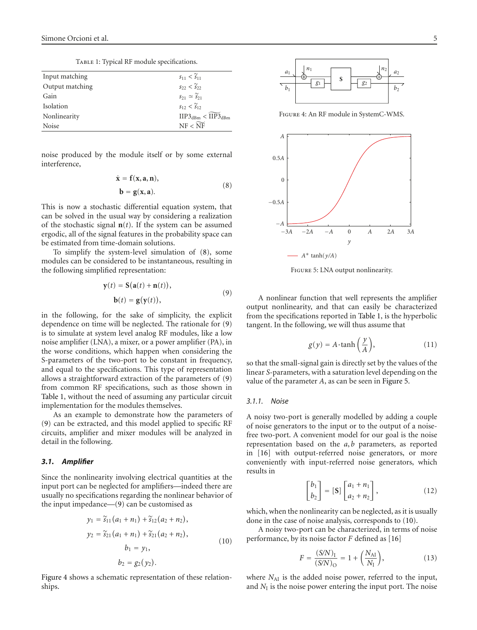TABLE 1: Typical RF module specifications.

| Input matching  | $s_{11} < \tilde{s}_{11}$                                       |
|-----------------|-----------------------------------------------------------------|
| Output matching | $s_{22} < \tilde{s}_{22}$                                       |
| Gain            | $s_{21} \simeq \widetilde{s}_{21}$                              |
| Isolation       | $s_{12} < \tilde{s}_{12}$                                       |
| Nonlinearity    | $\text{HP3}_{\text{dBm}} < \widetilde{\text{HP3}}_{\text{dBm}}$ |
| Noise           | $NF < \widetilde{NF}$                                           |
|                 |                                                                 |

noise produced by the module itself or by some external interference,

$$
\dot{\mathbf{x}} = \mathbf{f}(\mathbf{x}, \mathbf{a}, \mathbf{n}),
$$
  
\n
$$
\mathbf{b} = \mathbf{g}(\mathbf{x}, \mathbf{a}).
$$
 (8)

This is now a stochastic differential equation system, that can be solved in the usual way by considering a realization of the stochastic signal  $n(t)$ . If the system can be assumed ergodic, all of the signal features in the probability space can be estimated from time-domain solutions.

To simplify the system-level simulation of (8), some modules can be considered to be instantaneous, resulting in the following simplified representation:

$$
\mathbf{y}(t) = \mathbf{S}(\mathbf{a}(t) + \mathbf{n}(t)),
$$
  
\n
$$
\mathbf{b}(t) = \mathbf{g}(\mathbf{y}(t)),
$$
\n(9)

in the following, for the sake of simplicity, the explicit dependence on time will be neglected. The rationale for (9) is to simulate at system level analog RF modules, like a low noise amplifier (LNA), a mixer, or a power amplifier (PA), in the worse conditions, which happen when considering the S-parameters of the two-port to be constant in frequency, and equal to the specifications. This type of representation allows a straightforward extraction of the parameters of (9) from common RF specifications, such as those shown in Table 1, without the need of assuming any particular circuit implementation for the modules themselves.

As an example to demonstrate how the parameters of (9) can be extracted, and this model applied to specific RF circuits, amplifier and mixer modules will be analyzed in detail in the following.

#### *3.1. Amplifier*

Since the nonlinearity involving electrical quantities at the input port can be neglected for amplifiers—indeed there are usually no specifications regarding the nonlinear behavior of the input impedance—(9) can be customised as

$$
y_1 = \widetilde{s}_{11}(a_1 + n_1) + \widetilde{s}_{12}(a_2 + n_2),
$$
  
\n
$$
y_2 = \widetilde{s}_{21}(a_1 + n_1) + \widetilde{s}_{21}(a_2 + n_2),
$$
  
\n
$$
b_1 = y_1,
$$
  
\n
$$
b_2 = g_2(y_2).
$$
  
\n(10)

Figure 4 shows a schematic representation of these relationships.



Figure 4: An RF module in SystemC-WMS.



Figure 5: LNA output nonlinearity.

A nonlinear function that well represents the amplifier output nonlinearity, and that can easily be characterized from the specifications reported in Table 1, is the hyperbolic tangent. In the following, we will thus assume that

$$
g(y) = A \cdot \tanh\left(\frac{y}{A}\right),\tag{11}
$$

so that the small-signal gain is directly set by the values of the linear *S*-parameters, with a saturation level depending on the value of the parameter *A*, as can be seen in Figure 5.

# *3.1.1. Noise*

A noisy two-port is generally modelled by adding a couple of noise generators to the input or to the output of a noisefree two-port. A convenient model for our goal is the noise representation based on the *a*, *b* parameters, as reported in [16] with output-referred noise generators, or more conveniently with input-referred noise generators, which results in

$$
\begin{bmatrix} b_1 \\ b_2 \end{bmatrix} = [\mathbf{S}] \begin{bmatrix} a_1 + n_1 \\ a_2 + n_2 \end{bmatrix},
$$
\n(12)

which, when the nonlinearity can be neglected, as it is usually done in the case of noise analysis, corresponds to (10).

A noisy two-port can be characterized, in terms of noise performance, by its noise factor *F* defined as [16]

$$
F = \frac{(S/N)_I}{(S/N)_O} = 1 + \left(\frac{N_{AI}}{N_I}\right),\tag{13}
$$

where  $N_{\text{AI}}$  is the added noise power, referred to the input, and  $N_I$  is the noise power entering the input port. The noise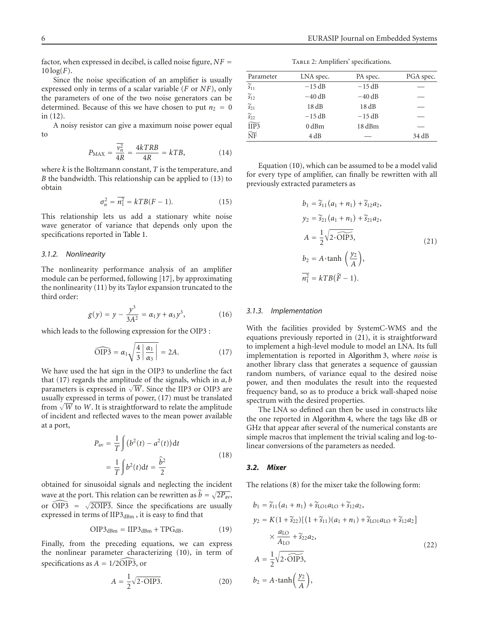factor, when expressed in decibel, is called noise figure, *NF* =  $10 \log(F)$ .

Since the noise specification of an amplifier is usually expressed only in terms of a scalar variable (*F* or *NF*), only the parameters of one of the two noise generators can be determined. Because of this we have chosen to put  $n_2 = 0$ in (12).

A noisy resistor can give a maximum noise power equal to

$$
P_{\text{MAX}} = \frac{\overline{v_n^2}}{4R} = \frac{4kTRB}{4R} = kTB,
$$
\n(14)

where *k* is the Boltzmann constant, *T* is the temperature, and *B* the bandwidth. This relationship can be applied to (13) to obtain

$$
\sigma_n^2 = \overline{n_1^2} = kT B (F - 1). \tag{15}
$$

This relationship lets us add a stationary white noise wave generator of variance that depends only upon the specifications reported in Table 1.

## *3.1.2. Nonlinearity*

The nonlinearity performance analysis of an amplifier module can be performed, following [17], by approximating the nonlinearity (11) by its Taylor expansion truncated to the third order:

$$
g(y) = y - \frac{y^3}{3A^2} = \alpha_1 y + \alpha_3 y^3, \tag{16}
$$

which leads to the following expression for the OIP3 :  
\n
$$
\widehat{OIP3} = \alpha_1 \sqrt{\frac{4}{3} \left| \frac{\alpha_1}{\alpha_3} \right|} = 2A.
$$
\n(17)

We have used the hat sign in the OIP3 to underline the fact that (17) regards the amplitude of the signals, which in *a*, *b* parameters is expressed in  $\sqrt{W}$ . Since the IIP3 or OIP3 are usually expressed in terms of power, (17) must be translated from  $\sqrt{W}$  to *W*. It is straightforward to relate the amplitude of incident and reflected waves to the mean power available at a port,

$$
P_{\text{av}} = \frac{1}{T} \int (b^2(t) - a^2(t)) \, \mathrm{d}t
$$
\n
$$
= \frac{1}{T} \int b^2(t) \, \mathrm{d}t = \frac{\hat{b}^2}{2} \tag{18}
$$

obtained for sinusoidal signals and neglecting the incident wave at the port. This relation can be rewritten as  $b = \sqrt{2P_{av}}$ , obtained<br>wave at t<br>or  $\widehat{OIP3}$  $\widehat{DIP3}$  =  $\sqrt{2OIP3}$ . Since the specifications are usually expressed in terms of  $\text{HP3}_{\text{dBm}}$ , it is easy to find that

$$
\text{OIP3}_{\text{dBm}} = \text{HP3}_{\text{dBm}} + \text{TPG}_{\text{dB}}.\tag{19}
$$

Finally, from the preceding equations, we can express the nonlinear parameter characterizing (10), in term of Finally, from the preceding extension the nonlinear parameter characteristic<br>specifications as  $A = 1/2\overline{\text{OP}}$ 3, or specifications as  $A = 1/2\overline{OIP3}$ , or

$$
A = \frac{1}{2}\sqrt{2 \cdot \text{OIP3}}.\tag{20}
$$

| Parameter                         | LNA spec. | PA spec. | PGA spec. |
|-----------------------------------|-----------|----------|-----------|
| $\widetilde{s}_{11}$              | $-15$ dB  | $-15$ dB |           |
| $\widetilde{s}_{12}$              | $-40$ dB  | $-40$ dB |           |
| $\widetilde{s}_{21}$              | 18dB      | 18dB     |           |
| $\widetilde{s}_{22}$              | $-15$ dB  | $-15$ dB |           |
| $\overline{\widehat{\text{HP3}}}$ | $0$ dBm   | 18 dBm   |           |
| $\widetilde{\text{NF}}$           | 4 dB      |          | 34 dB     |
|                                   |           |          |           |

Equation (10), which can be assumed to be a model valid for every type of amplifier, can finally be rewritten with all previously extracted parameters as

$$
b_1 = \tilde{s}_{11}(a_1 + n_1) + \tilde{s}_{12}a_2,
$$
  
\n
$$
y_2 = \tilde{s}_{21}(a_1 + n_1) + \tilde{s}_{21}a_2,
$$
  
\n
$$
A = \frac{1}{2}\sqrt{2 \cdot \widehat{\text{OIP3}}},
$$
  
\n
$$
b_2 = A \cdot \tanh\left(\frac{y_2}{A}\right),
$$
  
\n
$$
\overline{n_1^2} = kTB(\tilde{F} - 1).
$$
\n(21)

#### *3.1.3. Implementation*

With the facilities provided by SystemC-WMS and the equations previously reported in (21), it is straightforward to implement a high-level module to model an LNA. Its full implementation is reported in Algorithm 3, where *noise* is another library class that generates a sequence of gaussian random numbers, of variance equal to the desired noise power, and then modulates the result into the requested frequency band, so as to produce a brick wall-shaped noise spectrum with the desired properties.

The LNA so defined can then be used in constructs like the one reported in Algorithm 4, where the tags like dB or GHz that appear after several of the numerical constants are simple macros that implement the trivial scaling and log-tolinear conversions of the parameters as needed.

#### *3.2. Mixer*

The relations (8) for the mixer take the following form:

$$
b_1 = \tilde{s}_{11}(a_1 + n_1) + \tilde{s}_{101}a_{10} + \tilde{s}_{12}a_2,
$$
  
\n
$$
y_2 = K(1 + \tilde{s}_{22})[(1 + \tilde{s}_{11})(a_1 + n_1) + \tilde{s}_{101}a_{10} + \tilde{s}_{12}a_2]
$$
  
\n
$$
\times \frac{a_{10}}{A_{10}} + \tilde{s}_{22}a_2,
$$
  
\n
$$
A = \frac{1}{2}\sqrt{2 \cdot \widetilde{\text{OIP3}}},
$$
  
\n
$$
b_2 = A \cdot \tanh\left(\frac{y_2}{A}\right),
$$
\n(22)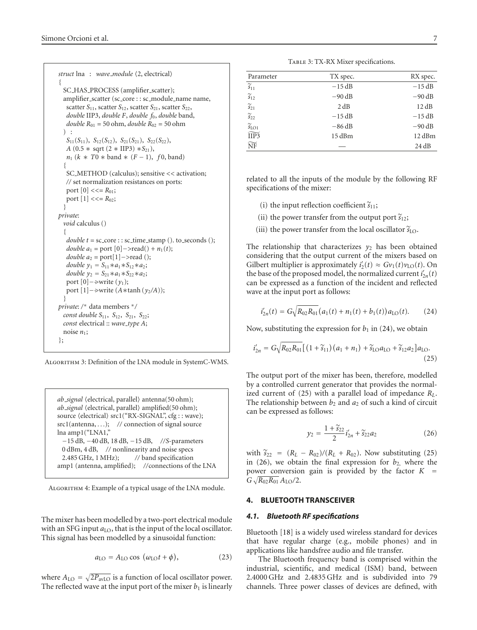```
struct lna : wave_module \langle 2, electrical\rangle{
  SC_HAS_PROCESS (amplifier_scatter);
  amplifier_scatter (sc_core : : sc_module_name name,
   scatter S<sub>11</sub>, scatter S<sub>12</sub>, scatter S<sub>21</sub>, scatter S<sub>22</sub>,
   double IIP3, double F, double f0, double band,
   double R_{01} = 50 ohm, double R_{02} = 50 ohm
  ) :
   S_{11}(S_{11}), S_{12}(S_{12}), S_{21}(S_{21}), S_{22}(S_{22}),A (0.5 * sqrt (2 * IIP3) *S_{21}),
   n_1 (k * T0 * band * (F - 1), f0, band)
  {
   SC METHOD (calculus); sensitive << activation;
   // set normalization resistances on ports:
   port [0] \leq \leq R_{01};
   port [1] \leq \leq R_{02};
  }
private:
  void calculus ()
  \mathcal{L}double t = sc_core : : sc_time_stamp (). to_seconds ();
   double a_1 = port [0] –>read() + n_1(t);
   double a_2 = port[1]−>read ();
   double y_1 = S_{11} * a_1 * S_{12} * a_2;double y_2 = S_{21} * a_1 * S_{22} * a_2;port [0]−->write (y1);
   port [1]−->write (A∗tanh (y2/A));
  }
private: /∗ data members ∗/
  const double S_{11}, S_{12}, S_{21}, S_{22};
  const electrical :: wave type A;
  noise n_1;
};
```
ALGORITHM 3: Definition of the LNA module in SystemC-WMS.

*ab\_signal* (electrical, parallel) antenna(50 ohm); *ab\_signal* (electrical, parallel) amplified(50 ohm); source (electrical) src1("RX-SIGNAL", cfg:: wave); src1(antenna, *...*); *//* connection of signal source lna amp1("LNA1," −15 dB, −40 dB, 18 dB, −15 dB, *//S*-parameters 0 dBm, 4 dB, *//* nonlinearity and noise specs 2.485 GHz, 1 MHz); *//* band specification amp1 (antenna, amplified); *//*connections of the LNA

ALGORITHM 4: Example of a typical usage of the LNA module.

The mixer has been modelled by a two-port electrical module with an SFG input  $a_{LO}$ , that is the input of the local oscillator. This signal has been modelled by a sinusoidal function:

$$
a_{\text{LO}} = A_{\text{LO}} \cos \left( \omega_{\text{LO}} t + \phi \right), \tag{23}
$$

where  $A_{\text{LO}} = \sqrt{2P_{\text{avLO}}}$  is a function of local oscillator power. The reflected wave at the input port of the mixer  $b_1$  is linearly

TABLE 3: TX-RX Mixer specifications.

| Parameter                    | TX spec. | RX spec. |
|------------------------------|----------|----------|
| $\widetilde{s}_{11}$         | $-15$ dB | $-15$ dB |
| $\widetilde{s}_{12}$         | $-90$ dB | $-90$ dB |
| $\widetilde{s}_{21}$         | 2 dB     | 12 dB    |
| $\widetilde{s}_{22}$         | $-15$ dB | $-15$ dB |
| $\widetilde{s}_\mathrm{LO1}$ | $-86$ dB | $-90$ dB |
| $\widetilde{\text{HP3}}$     | 15 dBm   | 12 dBm   |
| $\widetilde{\text{NF}}$      |          | 24 dB    |

related to all the inputs of the module by the following RF specifications of the mixer:

- (i) the input reflection coefficient  $\widetilde{s}_{11}$ ;
- (ii) the power transfer from the output port  $\tilde{s}_{12}$ ;
- (iii) the power transfer from the local oscillator  $\tilde{s}_{\text{LO}}$ .

The relationship that characterizes  $y_2$  has been obtained considering that the output current of the mixers based on Gilbert multiplier is approximately  $i'_2(t) \approx Gv_1(t)v_{LO}(t)$ . On the base of the proposed model, the normalized current  $i'_{2n}(t)$ can be expressed as a function of the incident and reflected wave at the input port as follows:

$$
i'_{2n}(t) = G\sqrt{R_{02}R_{01}}(a_1(t) + n_1(t) + b_1(t))a_{LO}(t).
$$
 (24)

Now, substituting the expression for  $b_1$  in (24), we obtain

$$
i'_{2n} = G\sqrt{R_{02}R_{01}}\left[\left(1 + \widetilde{s}_{11}\right)\left(a_1 + n_1\right) + \widetilde{s}_{\text{LO}}a_{\text{LO}} + \widetilde{s}_{12}a_2\right]a_{\text{LO}}.\tag{25}
$$

The output port of the mixer has been, therefore, modelled by a controlled current generator that provides the normalized current of (25) with a parallel load of impedance *RL*. The relationship between  $b_2$  and  $a_2$  of such a kind of circuit can be expressed as follows:

$$
y_2 = \frac{1 + \widetilde{s}_{22}}{2} i'_{2n} + \widetilde{s}_{22} a_2 \tag{26}
$$

with  $\widetilde{s}_{22} = (R_L - R_{02})/(R_L + R_{02})$ . Now substituting (25) in (26), we obtain the final expression for  $b_2$ , where the power conversion gain is provided by the factor  $K =$  $G \sqrt{R_{02}R_{01}} A_{LO}/2.$ 

# **4. BLUETOOTH TRANSCEIVER**

# *4.1. Bluetooth RF specifications*

Bluetooth [18] is a widely used wireless standard for devices that have regular charge (e.g., mobile phones) and in applications like handsfree audio and file transfer.

The Bluetooth frequency band is comprised within the industrial, scientific, and medical (ISM) band, between 2.4000 GHz and 2.4835 GHz and is subdivided into 79 channels. Three power classes of devices are defined, with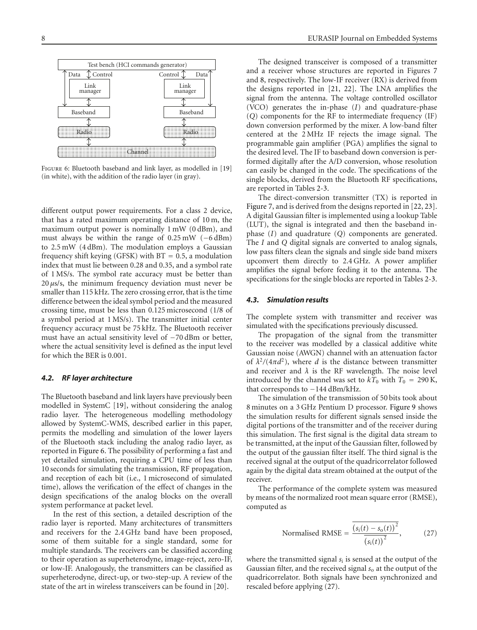

Figure 6: Bluetooth baseband and link layer, as modelled in [19] (in white), with the addition of the radio layer (in gray).

different output power requirements. For a class 2 device, that has a rated maximum operating distance of 10 m, the maximum output power is nominally 1 mW (0 dBm), and must always be within the range of 0.25 mW (−6 dBm) to 2.5 mW (4 dBm). The modulation employs a Gaussian frequency shift keying (GFSK) with BT = 0*.*5, a modulation index that must lie between 0.28 and 0.35, and a symbol rate of 1 MS/s. The symbol rate accuracy must be better than 20 *μ*s/s, the minimum frequency deviation must never be smaller than 115 kHz. The zero crossing error, that is the time difference between the ideal symbol period and the measured crossing time, must be less than 0.125 microsecond (1/8 of a symbol period at 1 MS/s). The transmitter initial center frequency accuracy must be 75 kHz. The Bluetooth receiver must have an actual sensitivity level of −70 dBm or better, where the actual sensitivity level is defined as the input level for which the BER is 0.001.

#### *4.2. RF layer architecture*

The Bluetooth baseband and link layers have previously been modelled in SystemC [19], without considering the analog radio layer. The heterogeneous modelling methodology allowed by SystemC-WMS, described earlier in this paper, permits the modelling and simulation of the lower layers of the Bluetooth stack including the analog radio layer, as reported in Figure 6. The possibility of performing a fast and yet detailed simulation, requiring a CPU time of less than 10 seconds for simulating the transmission, RF propagation, and reception of each bit (i.e., 1 microsecond of simulated time), allows the verification of the effect of changes in the design specifications of the analog blocks on the overall system performance at packet level.

In the rest of this section, a detailed description of the radio layer is reported. Many architectures of transmitters and receivers for the 2.4 GHz band have been proposed, some of them suitable for a single standard, some for multiple standards. The receivers can be classified according to their operation as superheterodyne, image-reject, zero-IF, or low-IF. Analogously, the transmitters can be classified as superheterodyne, direct-up, or two-step-up. A review of the state of the art in wireless transceivers can be found in [20].

The designed transceiver is composed of a transmitter and a receiver whose structures are reported in Figures 7 and 8, respectively. The low-IF receiver (RX) is derived from the designs reported in [21, 22]. The LNA amplifies the signal from the antenna. The voltage controlled oscillator (VCO) generates the in-phase (*I*) and quadrature-phase (*Q*) components for the RF to intermediate frequency (IF) down conversion performed by the mixer. A low-band filter centered at the 2 MHz IF rejects the image signal. The programmable gain amplifier (PGA) amplifies the signal to the desired level. The IF to baseband down conversion is performed digitally after the A/D conversion, whose resolution can easily be changed in the code. The specifications of the single blocks, derived from the Bluetooth RF specifications, are reported in Tables 2-3.

The direct-conversion transmitter (TX) is reported in Figure 7, and is derived from the designs reported in [22, 23]. A digital Gaussian filter is implemented using a lookup Table (LUT), the signal is integrated and then the baseband inphase (*I*) and quadrature (*Q*) components are generated. The *I* and *Q* digital signals are converted to analog signals, low pass filters clean the signals and single side band mixers upconvert them directly to 2.4 GHz. A power amplifier amplifies the signal before feeding it to the antenna. The specifications for the single blocks are reported in Tables 2-3.

## *4.3. Simulation results*

The complete system with transmitter and receiver was simulated with the specifications previously discussed.

The propagation of the signal from the transmitter to the receiver was modelled by a classical additive white Gaussian noise (AWGN) channel with an attenuation factor of  $\lambda^2/(4\pi d^2)$ , where *d* is the distance between transmitter and receiver and  $\lambda$  is the RF wavelength. The noise level introduced by the channel was set to  $kT_0$  with  $T_0 = 290$  K, that corresponds to −144 dBm/kHz.

The simulation of the transmission of 50 bits took about 8 minutes on a 3 GHz Pentium D processor. Figure 9 shows the simulation results for different signals sensed inside the digital portions of the transmitter and of the receiver during this simulation. The first signal is the digital data stream to be transmitted, at the input of the Gaussian filter, followed by the output of the gaussian filter itself. The third signal is the received signal at the output of the quadricorrelator followed again by the digital data stream obtained at the output of the receiver.

The performance of the complete system was measured by means of the normalized root mean square error (RMSE), computed as

Normalised RMSE = 
$$
\frac{(s_i(t) - s_o(t))^2}{(s_i(t))^2},
$$
 (27)

where the transmitted signal *s*<sup>i</sup> is sensed at the output of the Gaussian filter, and the received signal  $s<sub>o</sub>$  at the output of the quadricorrelator. Both signals have been synchronized and rescaled before applying (27).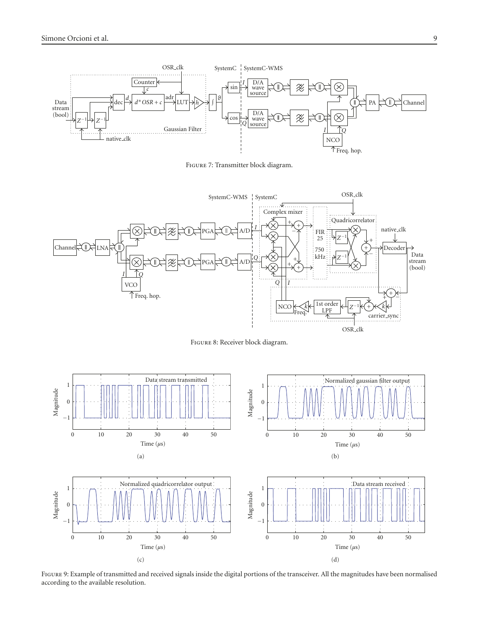

Figure 7: Transmitter block diagram.



Figure 8: Receiver block diagram.



Figure 9: Example of transmitted and received signals inside the digital portions of the transceiver. All the magnitudes have been normalised according to the available resolution.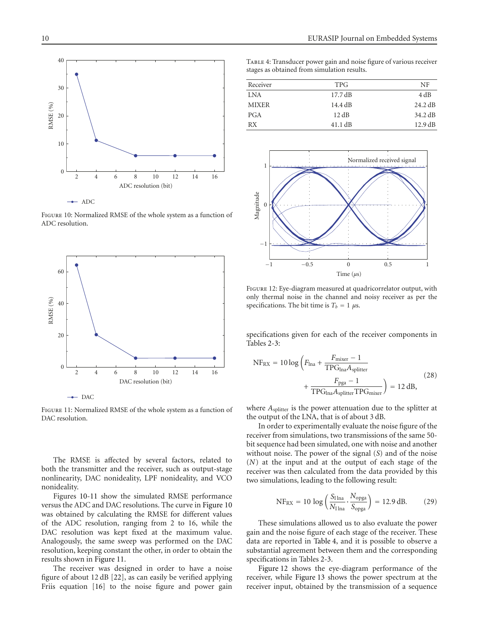

Figure 10: Normalized RMSE of the whole system as a function of ADC resolution.



Figure 11: Normalized RMSE of the whole system as a function of DAC resolution.

The RMSE is affected by several factors, related to both the transmitter and the receiver, such as output-stage nonlinearity, DAC nonideality, LPF nonideality, and VCO nonideality.

Figures 10-11 show the simulated RMSE performance versus the ADC and DAC resolutions. The curve in Figure 10 was obtained by calculating the RMSE for different values of the ADC resolution, ranging from 2 to 16, while the DAC resolution was kept fixed at the maximum value. Analogously, the same sweep was performed on the DAC resolution, keeping constant the other, in order to obtain the results shown in Figure 11.

The receiver was designed in order to have a noise figure of about 12 dB [22], as can easily be verified applying Friis equation [16] to the noise figure and power gain

Table 4: Transducer power gain and noise figure of various receiver stages as obtained from simulation results.

| Receiver     | <b>TPG</b>        | NF                |
|--------------|-------------------|-------------------|
| <b>LNA</b>   | $17.7 \text{ dB}$ | 4 dB              |
| <b>MIXER</b> | $14.4 \text{ dB}$ | $24.2 \text{ dB}$ |
| <b>PGA</b>   | 12 dB             | $34.2 \text{ dB}$ |
| RX           | $41.1 \text{ dB}$ | $12.9 \text{ dB}$ |



Figure 12: Eye-diagram measured at quadricorrelator output, with only thermal noise in the channel and noisy receiver as per the specifications. The bit time is  $T_b = 1 \mu s$ .

specifications given for each of the receiver components in Tables 2-3:

$$
NF_{RX} = 10 \log \left( F_{\text{lna}} + \frac{F_{\text{mixer}} - 1}{TPG_{\text{lna}}A_{\text{splitter}}} + \frac{F_{\text{pga}} - 1}{TPG_{\text{lna}}A_{\text{splitter}}TPG_{\text{mixer}}} \right) = 12 \text{ dB}, \tag{28}
$$

where  $A_{\text{splitter}}$  is the power attenuation due to the splitter at the output of the LNA, that is of about 3 dB.

In order to experimentally evaluate the noise figure of the receiver from simulations, two transmissions of the same 50 bit sequence had been simulated, one with noise and another without noise. The power of the signal (*S*) and of the noise (*N*) at the input and at the output of each stage of the receiver was then calculated from the data provided by this two simulations, leading to the following result:

$$
NF_{RX} = 10 \log \left( \frac{S_{I \ln a}}{N_{I \ln a}} \cdot \frac{N_{\text{opga}}}{S_{\text{opga}}} \right) = 12.9 \text{ dB.}
$$
 (29)

These simulations allowed us to also evaluate the power gain and the noise figure of each stage of the receiver. These data are reported in Table 4, and it is possible to observe a substantial agreement between them and the corresponding specifications in Tables 2-3.

Figure 12 shows the eye-diagram performance of the receiver, while Figure 13 shows the power spectrum at the receiver input, obtained by the transmission of a sequence